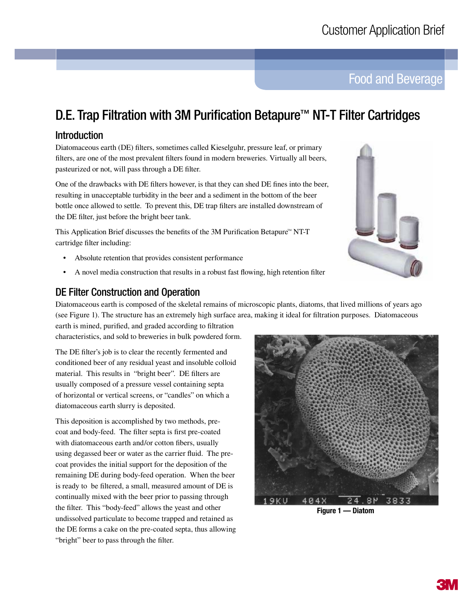Food and Beverage

# D.E. Trap Filtration with 3M Purification Betapure<sup>™</sup> NT-T Filter Cartridges

# Introduction

Diatomaceous earth (DE) filters, sometimes called Kieselguhr, pressure leaf, or primary filters, are one of the most prevalent filters found in modern breweries. Virtually all beers, pasteurized or not, will pass through a DE filter.

One of the drawbacks with DE filters however, is that they can shed DE fines into the beer, resulting in unacceptable turbidity in the beer and a sediment in the bottom of the beer bottle once allowed to settle. To prevent this, DE trap filters are installed downstream of the DE filter, just before the bright beer tank.

This Application Brief discusses the benefits of the 3M Purification Betapure<sup> $M$ </sup> NT-T cartridge filter including:

- Absolute retention that provides consistent performance
- A novel media construction that results in a robust fast flowing, high retention filter

# DE Filter Construction and Operation

Diatomaceous earth is composed of the skeletal remains of microscopic plants, diatoms, that lived millions of years ago (see Figure 1). The structure has an extremely high surface area, making it ideal for filtration purposes. Diatomaceous

earth is mined, purified, and graded according to filtration characteristics, and sold to breweries in bulk powdered form.

The DE filter's job is to clear the recently fermented and conditioned beer of any residual yeast and insoluble colloid material. This results in "bright beer". DE filters are usually composed of a pressure vessel containing septa of horizontal or vertical screens, or "candles" on which a diatomaceous earth slurry is deposited.

This deposition is accomplished by two methods, precoat and body-feed. The filter septa is first pre-coated with diatomaceous earth and/or cotton fibers, usually using degassed beer or water as the carrier fluid. The precoat provides the initial support for the deposition of the remaining DE during body-feed operation. When the beer is ready to be filtered, a small, measured amount of DE is continually mixed with the beer prior to passing through the filter. This "body-feed" allows the yeast and other undissolved particulate to become trapped and retained as the DE forms a cake on the pre-coated septa, thus allowing "bright" beer to pass through the filter.



**Figure 1 — Diatom**

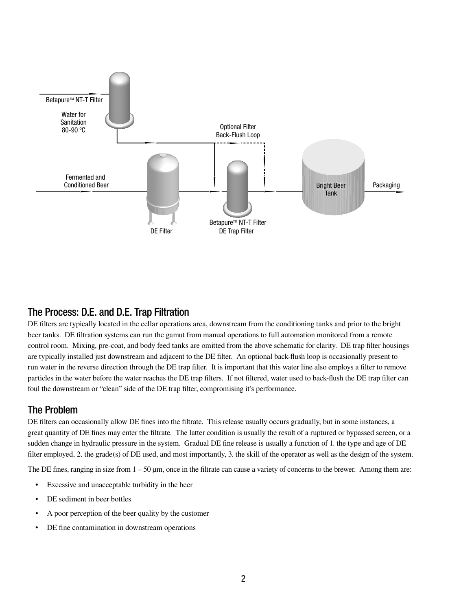

## The Process: D.E. and D.E. Trap Filtration

DE filters are typically located in the cellar operations area, downstream from the conditioning tanks and prior to the bright beer tanks. DE filtration systems can run the gamut from manual operations to full automation monitored from a remote control room. Mixing, pre-coat, and body feed tanks are omitted from the above schematic for clarity. DE trap filter housings are typically installed just downstream and adjacent to the DE filter. An optional back-flush loop is occasionally present to run water in the reverse direction through the DE trap filter. It is important that this water line also employs a filter to remove particles in the water before the water reaches the DE trap filters. If not filtered, water used to back-flush the DE trap filter can foul the downstream or "clean" side of the DE trap filter, compromising it's performance.

## The Problem

DE filters can occasionally allow DE fines into the filtrate. This release usually occurs gradually, but in some instances, a great quantity of DE fines may enter the filtrate. The latter condition is usually the result of a ruptured or bypassed screen, or a sudden change in hydraulic pressure in the system. Gradual DE fine release is usually a function of 1. the type and age of DE filter employed, 2. the grade(s) of DE used, and most importantly, 3. the skill of the operator as well as the design of the system.

The DE fines, ranging in size from 1 – 50 μm, once in the filtrate can cause a variety of concerns to the brewer. Among them are:

- Excessive and unacceptable turbidity in the beer
- DE sediment in beer bottles
- A poor perception of the beer quality by the customer
- DE fine contamination in downstream operations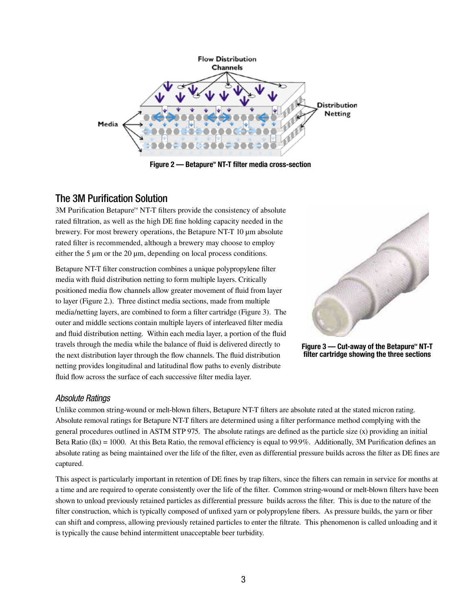

**Figure 2 — Betapure<sup>™</sup> NT-T filter media cross-section** 

# The 3M Purification Solution

 $3M$  Purification Betapure<sup> $M$ </sup> NT-T filters provide the consistency of absolute rated filtration, as well as the high DE fine holding capacity needed in the brewery. For most brewery operations, the Betapure NT-T 10 μm absolute rated filter is recommended, although a brewery may choose to employ either the 5 μm or the 20 μm, depending on local process conditions.

Betapure NT-T filter construction combines a unique polypropylene filter media with fluid distribution netting to form multiple layers. Critically positioned media flow channels allow greater movement of fluid from layer to layer (Figure 2.). Three distinct media sections, made from multiple media/netting layers, are combined to form a filter cartridge (Figure 3). The outer and middle sections contain multiple layers of interleaved filter media and fluid distribution netting. Within each media layer, a portion of the fluid travels through the media while the balance of fluid is delivered directly to the next distribution layer through the flow channels. The fluid distribution netting provides longitudinal and latitudinal flow paths to evenly distribute fluid flow across the surface of each successive filter media layer.





### Absolute Ratings

Unlike common string-wound or melt-blown filters, Betapure NT-T filters are absolute rated at the stated micron rating. Absolute removal ratings for Betapure NT-T filters are determined using a filter performance method complying with the general procedures outlined in ASTM STP 975. The absolute ratings are defined as the particle size (x) providing an initial Beta Ratio  $(\beta x) = 1000$ . At this Beta Ratio, the removal efficiency is equal to 99.9%. Additionally, 3M Purification defines an absolute rating as being maintained over the life of the filter, even as differential pressure builds across the filter as DE fines are captured.

This aspect is particularly important in retention of DE fines by trap filters, since the filters can remain in service for months at a time and are required to operate consistently over the life of the filter. Common string-wound or melt-blown filters have been shown to unload previously retained particles as differential pressure builds across the filter. This is due to the nature of the filter construction, which is typically composed of unfixed yarn or polypropylene fibers. As pressure builds, the yarn or fiber can shift and compress, allowing previously retained particles to enter the filtrate. This phenomenon is called unloading and it is typically the cause behind intermittent unacceptable beer turbidity.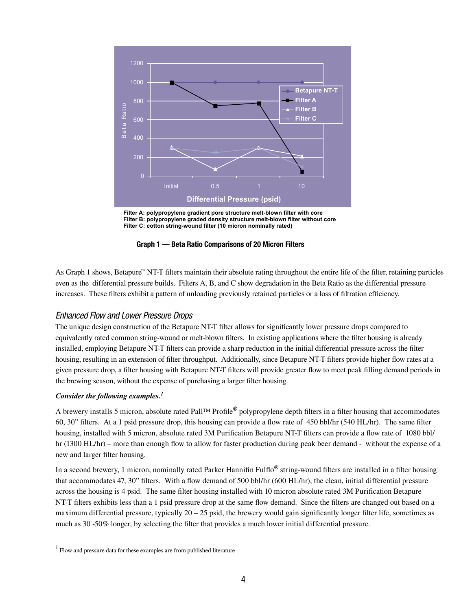





As Graph 1 shows, Betapure<sup> $M$ </sup> NT-T filters maintain their absolute rating throughout the entire life of the filter, retaining particles even as the differential pressure builds. Filters A, B, and C show degradation in the Beta Ratio as the differential pressure increases. These filters exhibit a pattern of unloading previously retained particles or a loss of filtration efficiency.

#### Enhanced Flow and Lower Pressure Drops

The unique design construction of the Betapure NT-T filter allows for significantly lower pressure drops compared to equivalently rated common string-wound or melt-blown filters. In existing applications where the filter housing is already installed, employing Betapure NT-T filters can provide a sharp reduction in the initial differential pressure across the filter housing, resulting in an extension of filter throughput. Additionally, since Betapure NT-T filters provide higher flow rates at a given pressure drop, a filter housing with Betapure NT-T filters will provide greater flow to meet peak filling demand periods in the brewing season, without the expense of purchasing a larger filter housing.

#### *Consider the following examples.1*

A brewery installs 5 micron, absolute rated Pall™ Profile® polypropylene depth filters in a filter housing that accommodates 60, 30" filters. At a 1 psid pressure drop, this housing can provide a flow rate of 450 bbl/hr (540 HL/hr). The same filter housing, installed with 5 micron, absolute rated 3M Purification Betapure NT-T filters can provide a flow rate of 1080 bbl/  $hr(1300 HL/hr)$  – more than enough flow to allow for faster production during peak beer demand - without the expense of a new and larger filter housing.

In a second brewery, 1 micron, nominally rated Parker Hannifin Fulflo<sup>®</sup> string-wound filters are installed in a filter housing that accommodates 47, 30" filters. With a flow demand of 500 bbl/hr (600 HL/hr), the clean, initial differential pressure across the housing is 4 psid. The same filter housing installed with 10 micron absolute rated 3M Purification Betapure NT-T filters exhibits less than a 1 psid pressure drop at the same flow demand. Since the filters are changed out based on a maximum differential pressure, typically  $20 - 25$  psid, the brewery would gain significantly longer filter life, sometimes as much as 30 -50% longer, by selecting the filter that provides a much lower initial differential pressure.

 $<sup>1</sup>$  Flow and pressure data for these examples are from published literature</sup>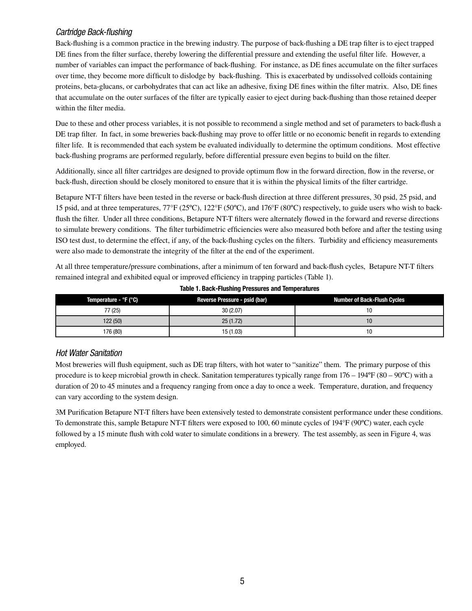### Cartridge Back-flushing

Back-flushing is a common practice in the brewing industry. The purpose of back-flushing a DE trap filter is to eject trapped DE fines from the filter surface, thereby lowering the differential pressure and extending the useful filter life. However, a number of variables can impact the performance of back-flushing. For instance, as DE fines accumulate on the filter surfaces over time, they become more difficult to dislodge by back-flushing. This is exacerbated by undissolved colloids containing proteins, beta-glucans, or carbohydrates that can act like an adhesive, fixing DE fines within the filter matrix. Also, DE fines that accumulate on the outer surfaces of the filter are typically easier to eject during back-flushing than those retained deeper within the filter media.

Due to these and other process variables, it is not possible to recommend a single method and set of parameters to back-flush a DE trap filter. In fact, in some breweries back-flushing may prove to offer little or no economic benefit in regards to extending filter life. It is recommended that each system be evaluated individually to determine the optimum conditions. Most effective back-flushing programs are performed regularly, before differential pressure even begins to build on the filter.

Additionally, since all filter cartridges are designed to provide optimum flow in the forward direction, flow in the reverse, or back-flush, direction should be closely monitored to ensure that it is within the physical limits of the filter cartridge.

Betapure NT-T filters have been tested in the reverse or back-flush direction at three different pressures, 30 psid, 25 psid, and 15 psid, and at three temperatures,  $77^{\circ}F(25^{\circ}C)$ ,  $122^{\circ}F(50^{\circ}C)$ , and  $176^{\circ}F(80^{\circ}C)$  respectively, to guide users who wish to backflush the filter. Under all three conditions, Betapure NT-T filters were alternately flowed in the forward and reverse directions to simulate brewery conditions. The filter turbidimetric efficiencies were also measured both before and after the testing using ISO test dust, to determine the effect, if any, of the back-flushing cycles on the filters. Turbidity and efficiency measurements were also made to demonstrate the integrity of the filter at the end of the experiment.

At all three temperature/pressure combinations, after a minimum of ten forward and back-flush cycles, Betapure NT-T filters remained integral and exhibited equal or improved efficiency in trapping particles (Table 1).

| Temperature - °F (°C) | Reverse Pressure - psid (bar) | <b>Number of Back-Flush Cycles</b> |  |  |
|-----------------------|-------------------------------|------------------------------------|--|--|
| 77 (25)               | 30(2.07)                      |                                    |  |  |
| 122 (50)              | 25(1.72)                      | 10                                 |  |  |
| 176 (80)              | 15 (1.03)                     | 10                                 |  |  |

**Table 1. Back-Flushing Pressures and Temperatures**

### Hot Water Sanitation

Most breweries will flush equipment, such as DE trap filters, with hot water to "sanitize" them. The primary purpose of this procedure is to keep microbial growth in check. Sanitation temperatures typically range from  $176 - 194$ °F (80 – 90°C) with a duration of 20 to 45 minutes and a frequency ranging from once a day to once a week. Temperature, duration, and frequency can vary according to the system design.

3M Purification Betapure NT-T filters have been extensively tested to demonstrate consistent performance under these conditions. To demonstrate this, sample Betapure NT-T filters were exposed to 100, 60 minute cycles of 194°F (90°C) water, each cycle followed by a 15 minute flush with cold water to simulate conditions in a brewery. The test assembly, as seen in Figure 4, was employed.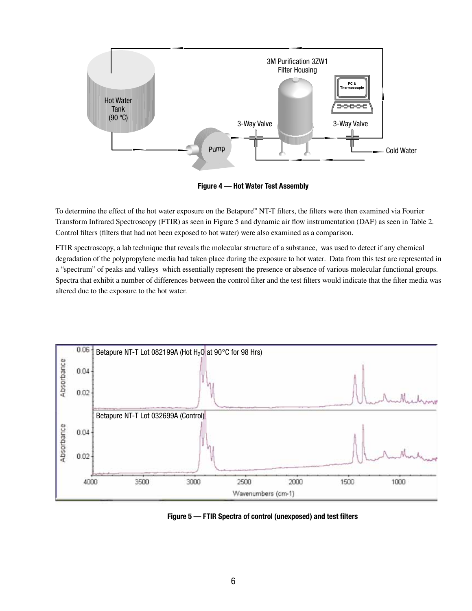

**Figure 4 — Hot Water Test Assembly**

To determine the effect of the hot water exposure on the Betapure<sup>N</sup> NT-T filters, the filters were then examined via Fourier Transform Infrared Spectroscopy (FTIR) as seen in Figure 5 and dynamic air flow instrumentation (DAF) as seen in Table 2. Control filters (filters that had not been exposed to hot water) were also examined as a comparison.

FTIR spectroscopy, a lab technique that reveals the molecular structure of a substance, was used to detect if any chemical degradation of the polypropylene media had taken place during the exposure to hot water. Data from this test are represented in a "spectrum" of peaks and valleys which essentially represent the presence or absence of various molecular functional groups. Spectra that exhibit a number of differences between the control filter and the test filters would indicate that the filter media was altered due to the exposure to the hot water.



**Figure 5 — FTIR Spectra of control (unexposed) and test filters**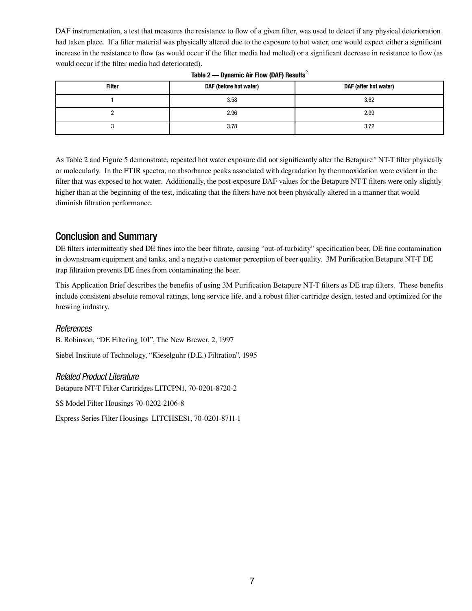DAF instrumentation, a test that measures the resistance to flow of a given filter, was used to detect if any physical deterioration had taken place. If a filter material was physically altered due to the exposure to hot water, one would expect either a significant increase in the resistance to flow (as would occur if the filter media had melted) or a significant decrease in resistance to flow (as would occur if the filter media had deteriorated).

| <b>Filter</b> | DAF (before hot water) | DAF (after hot water) |  |  |
|---------------|------------------------|-----------------------|--|--|
|               | 3.58                   | 3.62                  |  |  |
|               | 2.96                   | 2.99                  |  |  |
|               | 3.78                   | 3.72                  |  |  |

| Table 2 — Dynamic Air Flow (DAF) Results <sup>2</sup> |  |
|-------------------------------------------------------|--|
|                                                       |  |

As Table 2 and Figure 5 demonstrate, repeated hot water exposure did not significantly alter the Betapure<sup> $M$ </sup> NT-T filter physically or molecularly. In the FTIR spectra, no absorbance peaks associated with degradation by thermooxidation were evident in the filter that was exposed to hot water. Additionally, the post-exposure DAF values for the Betapure NT-T filters were only slightly higher than at the beginning of the test, indicating that the filters have not been physically altered in a manner that would diminish filtration performance.

# Conclusion and Summary

DE filters intermittently shed DE fines into the beer filtrate, causing "out-of-turbidity" specification beer, DE fine contamination in downstream equipment and tanks, and a negative customer perception of beer quality. 3M Purification Betapure NT-T DE trap filtration prevents DE fines from contaminating the beer.

This Application Brief describes the benefits of using 3M Purification Betapure NT-T filters as DE trap filters. These benefits include consistent absolute removal ratings, long service life, and a robust filter cartridge design, tested and optimized for the brewing industry.

### References

B. Robinson, "DE Filtering 101", The New Brewer, 2, 1997

Siebel Institute of Technology, "Kieselguhr (D.E.) Filtration", 1995

### Related Product Literature

Betapure NT-T Filter Cartridges LITCPN1, 70-0201-8720-2

SS Model Filter Housings 70-0202-2106-8

Express Series Filter Housings LITCHSES1, 70-0201-8711-1